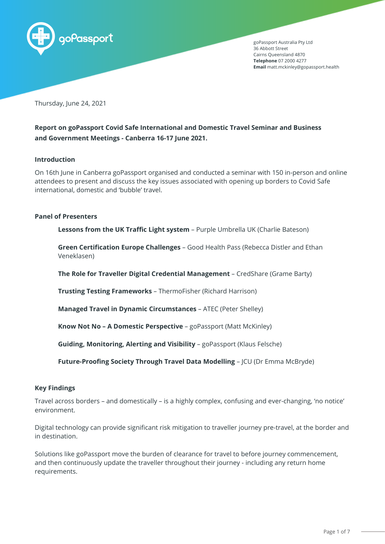

goPassport Australia Pty Ltd 36 Abbott Street Cairns Queensland 4870 **Telephone** 07 2000 4277 **Email** matt.mckinley@gopassport.health

Thursday, June 24, 2021

# **Report on goPassport Covid Safe International and Domestic Travel Seminar and Business and Government Meetings - Canberra 16-17 June 2021.**

#### **Introduction**

On 16th June in Canberra goPassport organised and conducted a seminar with 150 in-person and online attendees to present and discuss the key issues associated with opening up borders to Covid Safe international, domestic and 'bubble' travel.

#### **Panel of Presenters**

**Lessons from the UK Traffic Light system** – Purple Umbrella UK (Charlie Bateson)

**Green Certification Europe Challenges** – Good Health Pass (Rebecca Distler and Ethan Veneklasen)

**The Role for Traveller Digital Credential Management** – CredShare (Grame Barty)

**Trusting Testing Frameworks** – ThermoFisher (Richard Harrison)

**Managed Travel in Dynamic Circumstances** – ATEC (Peter Shelley)

**Know Not No – A Domestic Perspective** – goPassport (Matt McKinley)

**Guiding, Monitoring, Alerting and Visibility** – goPassport (Klaus Felsche)

**Future-Proofing Society Through Travel Data Modelling** – JCU (Dr Emma McBryde)

### **Key Findings**

Travel across borders – and domestically – is a highly complex, confusing and ever-changing, 'no notice' environment.

Digital technology can provide significant risk mitigation to traveller journey pre-travel, at the border and in destination.

Solutions like goPassport move the burden of clearance for travel to before journey commencement, and then continuously update the traveller throughout their journey - including any return home requirements.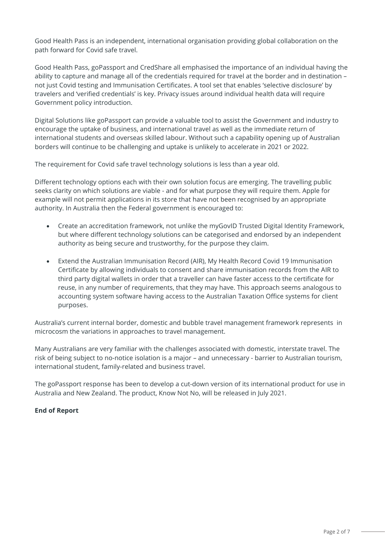Good Health Pass is an independent, international organisation providing global collaboration on the path forward for Covid safe travel.

Good Health Pass, goPassport and CredShare all emphasised the importance of an individual having the ability to capture and manage all of the credentials required for travel at the border and in destination – not just Covid testing and Immunisation Certificates. A tool set that enables 'selective disclosure' by travelers and 'verified credentials' is key. Privacy issues around individual health data will require Government policy introduction.

Digital Solutions like goPassport can provide a valuable tool to assist the Government and industry to encourage the uptake of business, and international travel as well as the immediate return of international students and overseas skilled labour. Without such a capability opening up of Australian borders will continue to be challenging and uptake is unlikely to accelerate in 2021 or 2022.

The requirement for Covid safe travel technology solutions is less than a year old.

Different technology options each with their own solution focus are emerging. The travelling public seeks clarity on which solutions are viable - and for what purpose they will require them. Apple for example will not permit applications in its store that have not been recognised by an appropriate authority. In Australia then the Federal government is encouraged to:

- Create an accreditation framework, not unlike the myGovID Trusted Digital Identity Framework, but where different technology solutions can be categorised and endorsed by an independent authority as being secure and trustworthy, for the purpose they claim.
- Extend the Australian Immunisation Record (AIR), My Health Record Covid 19 Immunisation Certificate by allowing individuals to consent and share immunisation records from the AIR to third party digital wallets in order that a traveller can have faster access to the certificate for reuse, in any number of requirements, that they may have. This approach seems analogous to accounting system software having access to the Australian Taxation Office systems for client purposes.

Australia's current internal border, domestic and bubble travel management framework represents in microcosm the variations in approaches to travel management.

Many Australians are very familiar with the challenges associated with domestic, interstate travel. The risk of being subject to no-notice isolation is a major – and unnecessary - barrier to Australian tourism, international student, family-related and business travel.

The goPassport response has been to develop a cut-down version of its international product for use in Australia and New Zealand. The product, Know Not No, will be released in July 2021.

## **End of Report**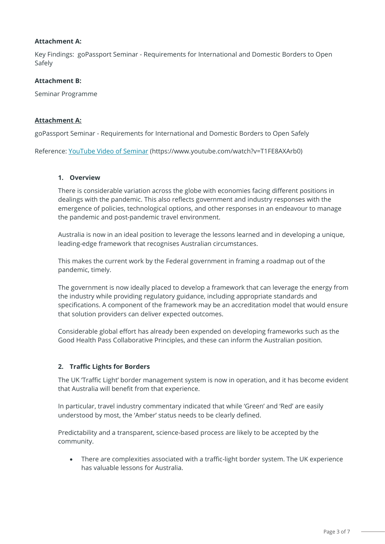### **Attachment A:**

Key Findings: goPassport Seminar - Requirements for International and Domestic Borders to Open Safely

### **Attachment B:**

Seminar Programme

### **Attachment A:**

goPassport Seminar - Requirements for International and Domestic Borders to Open Safely

Reference: [YouTube Video of Seminar](https://www.youtube.com/watch?v=T1FE8AXArb0) (https://www.youtube.com/watch?v=T1FE8AXArb0)

#### **1. Overview**

There is considerable variation across the globe with economies facing different positions in dealings with the pandemic. This also reflects government and industry responses with the emergence of policies, technological options, and other responses in an endeavour to manage the pandemic and post-pandemic travel environment.

Australia is now in an ideal position to leverage the lessons learned and in developing a unique, leading-edge framework that recognises Australian circumstances.

This makes the current work by the Federal government in framing a roadmap out of the pandemic, timely.

The government is now ideally placed to develop a framework that can leverage the energy from the industry while providing regulatory guidance, including appropriate standards and specifications. A component of the framework may be an accreditation model that would ensure that solution providers can deliver expected outcomes.

Considerable global effort has already been expended on developing frameworks such as the Good Health Pass Collaborative Principles, and these can inform the Australian position.

### **2. Traffic Lights for Borders**

The UK 'Traffic Light' border management system is now in operation, and it has become evident that Australia will benefit from that experience.

In particular, travel industry commentary indicated that while 'Green' and 'Red' are easily understood by most, the 'Amber' status needs to be clearly defined.

Predictability and a transparent, science-based process are likely to be accepted by the community.

• There are complexities associated with a traffic-light border system. The UK experience has valuable lessons for Australia.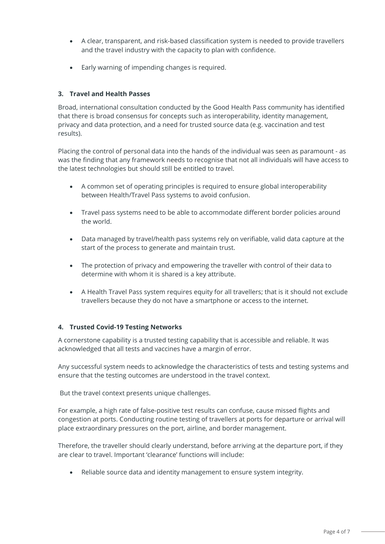- A clear, transparent, and risk-based classification system is needed to provide travellers and the travel industry with the capacity to plan with confidence.
- Early warning of impending changes is required.

## **3. Travel and Health Passes**

Broad, international consultation conducted by the Good Health Pass community has identified that there is broad consensus for concepts such as interoperability, identity management, privacy and data protection, and a need for trusted source data (e.g. vaccination and test results).

Placing the control of personal data into the hands of the individual was seen as paramount - as was the finding that any framework needs to recognise that not all individuals will have access to the latest technologies but should still be entitled to travel.

- A common set of operating principles is required to ensure global interoperability between Health/Travel Pass systems to avoid confusion.
- Travel pass systems need to be able to accommodate different border policies around the world.
- Data managed by travel/health pass systems rely on verifiable, valid data capture at the start of the process to generate and maintain trust.
- The protection of privacy and empowering the traveller with control of their data to determine with whom it is shared is a key attribute.
- A Health Travel Pass system requires equity for all travellers; that is it should not exclude travellers because they do not have a smartphone or access to the internet.

## **4. Trusted Covid-19 Testing Networks**

A cornerstone capability is a trusted testing capability that is accessible and reliable. It was acknowledged that all tests and vaccines have a margin of error.

Any successful system needs to acknowledge the characteristics of tests and testing systems and ensure that the testing outcomes are understood in the travel context.

But the travel context presents unique challenges.

For example, a high rate of false-positive test results can confuse, cause missed flights and congestion at ports. Conducting routine testing of travellers at ports for departure or arrival will place extraordinary pressures on the port, airline, and border management.

Therefore, the traveller should clearly understand, before arriving at the departure port, if they are clear to travel. Important 'clearance' functions will include:

• Reliable source data and identity management to ensure system integrity.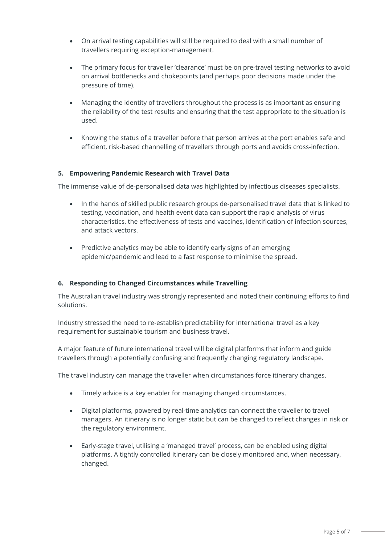- On arrival testing capabilities will still be required to deal with a small number of travellers requiring exception-management.
- The primary focus for traveller 'clearance' must be on pre-travel testing networks to avoid on arrival bottlenecks and chokepoints (and perhaps poor decisions made under the pressure of time).
- Managing the identity of travellers throughout the process is as important as ensuring the reliability of the test results and ensuring that the test appropriate to the situation is used.
- Knowing the status of a traveller before that person arrives at the port enables safe and efficient, risk-based channelling of travellers through ports and avoids cross-infection.

## **5. Empowering Pandemic Research with Travel Data**

The immense value of de-personalised data was highlighted by infectious diseases specialists.

- In the hands of skilled public research groups de-personalised travel data that is linked to testing, vaccination, and health event data can support the rapid analysis of virus characteristics, the effectiveness of tests and vaccines, identification of infection sources, and attack vectors.
- Predictive analytics may be able to identify early signs of an emerging epidemic/pandemic and lead to a fast response to minimise the spread.

### **6. Responding to Changed Circumstances while Travelling**

The Australian travel industry was strongly represented and noted their continuing efforts to find solutions.

Industry stressed the need to re-establish predictability for international travel as a key requirement for sustainable tourism and business travel.

A major feature of future international travel will be digital platforms that inform and guide travellers through a potentially confusing and frequently changing regulatory landscape.

The travel industry can manage the traveller when circumstances force itinerary changes.

- Timely advice is a key enabler for managing changed circumstances.
- Digital platforms, powered by real-time analytics can connect the traveller to travel managers. An itinerary is no longer static but can be changed to reflect changes in risk or the regulatory environment.
- Early-stage travel, utilising a 'managed travel' process, can be enabled using digital platforms. A tightly controlled itinerary can be closely monitored and, when necessary, changed.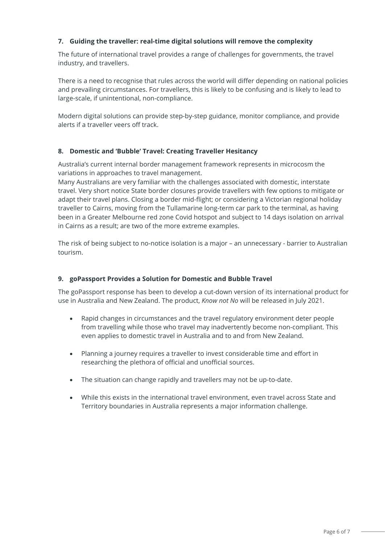## **7. Guiding the traveller: real-time digital solutions will remove the complexity**

The future of international travel provides a range of challenges for governments, the travel industry, and travellers.

There is a need to recognise that rules across the world will differ depending on national policies and prevailing circumstances. For travellers, this is likely to be confusing and is likely to lead to large-scale, if unintentional, non-compliance.

Modern digital solutions can provide step-by-step guidance, monitor compliance, and provide alerts if a traveller veers off track.

## **8. Domestic and 'Bubble' Travel: Creating Traveller Hesitancy**

Australia's current internal border management framework represents in microcosm the variations in approaches to travel management.

Many Australians are very familiar with the challenges associated with domestic, interstate travel. Very short notice State border closures provide travellers with few options to mitigate or adapt their travel plans. Closing a border mid-flight; or considering a Victorian regional holiday traveller to Cairns, moving from the Tullamarine long-term car park to the terminal, as having been in a Greater Melbourne red zone Covid hotspot and subject to 14 days isolation on arrival in Cairns as a result; are two of the more extreme examples.

The risk of being subject to no-notice isolation is a major – an unnecessary - barrier to Australian tourism.

### **9. goPassport Provides a Solution for Domestic and Bubble Travel**

The goPassport response has been to develop a cut-down version of its international product for use in Australia and New Zealand. The product, *Know not No* will be released in July 2021.

- Rapid changes in circumstances and the travel regulatory environment deter people from travelling while those who travel may inadvertently become non-compliant. This even applies to domestic travel in Australia and to and from New Zealand.
- Planning a journey requires a traveller to invest considerable time and effort in researching the plethora of official and unofficial sources.
- The situation can change rapidly and travellers may not be up-to-date.
- While this exists in the international travel environment, even travel across State and Territory boundaries in Australia represents a major information challenge.